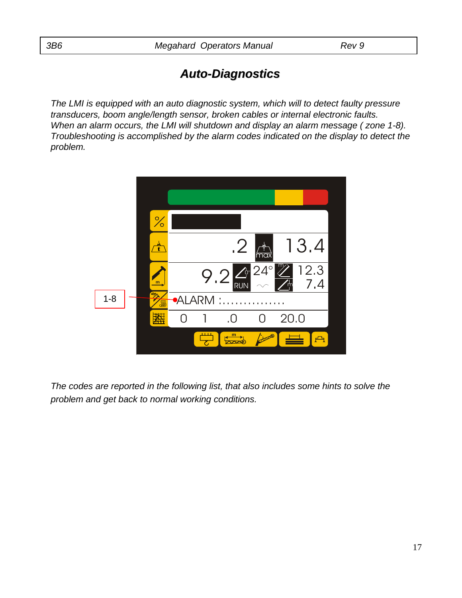# *Auto-Diagnostics Diagnostics*

*The LMI is equipped with an auto diagnostic system, which will to detect faulty pressure transducers, boom angle/length sensor, broken cables or internal electronic faults. When an alarm occurs, the LMI will shutdown and display an alarm message ( zone 1-8). Troubleshooting is accomplished by the alarm codes indicated on the display to detect the problem.*



*The codes are reported in the following list, that also includes some hints to solve the problem and get back to normal working conditions.*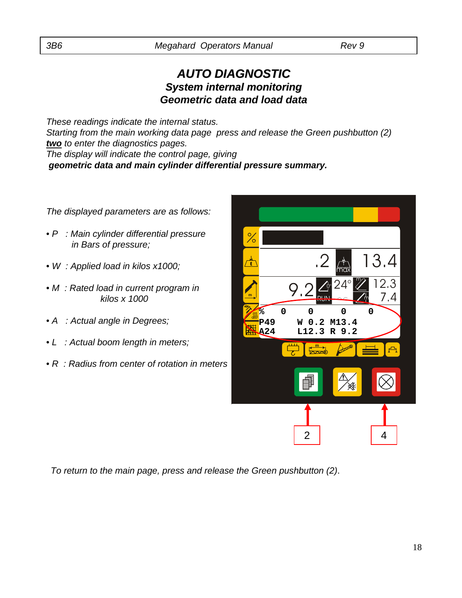### *AUTO DIAGNOSTIC AUTO DIAGNOSTIC System internal monitoring Geometric data and load data*

*These readings indicate the internal status. Starting from the main working data page press and release the Green pushbutton (2) two to enter the diagnostics pages. The display will indicate the control page, giving geometric data and main cylinder differential pressure summary.*

*The displayed parameters are as follows:*

- *P : Main cylinder differential pressure in Bars of pressure;*
- *W : Applied load in kilos x1000;*
- *M : Rated load in current program in kilos x 1000*
- *A : Actual angle in Degrees;*
- *L : Actual boom length in meters;*
- *R : Radius from center of rotation in meters*

| $\cdot$ 2                |                     | 13.4                         |
|--------------------------|---------------------|------------------------------|
| 9.2                      | $\overline{\gamma}$ | 12.3<br>7.4<br>ψ             |
| 0<br>0<br>W 0.2<br>L12.3 | 0                   | 0                            |
| 屶<br>$\frac{m}{2}$       |                     |                              |
|                          | ☀                   |                              |
|                          |                     | 4                            |
|                          | $\overline{2}$      | $24^\circ$<br>M13.4<br>R 9.2 |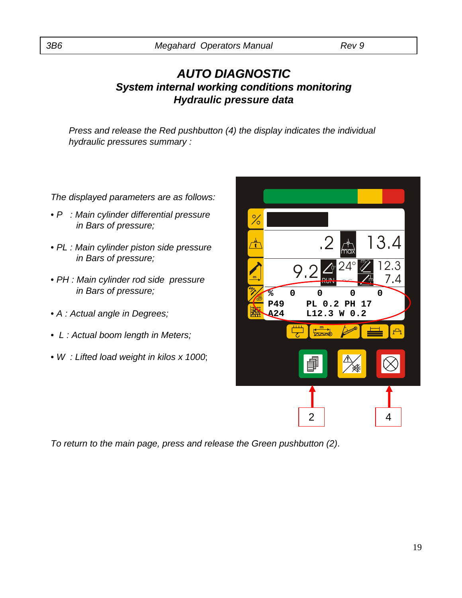#### *AUTO DIAGNOSTIC AUTO DIAGNOSTIC System internal working conditions monitoring Hydraulic pressure data*

*Press and release the Red pushbutton (4) the display indicates the individual hydraulic pressures summary :*

*The displayed parameters are as follows:*

- *P : Main cylinder differential pressure in Bars of pressure;*
- *PL : Main cylinder piston side pressure in Bars of pressure;*
- *PH : Main cylinder rod side pressure in Bars of pressure;*
- *A : Actual angle in Degrees;*
- *L : Actual boom length in Meters;*
- *W : Lifted load weight in kilos x 1000*;

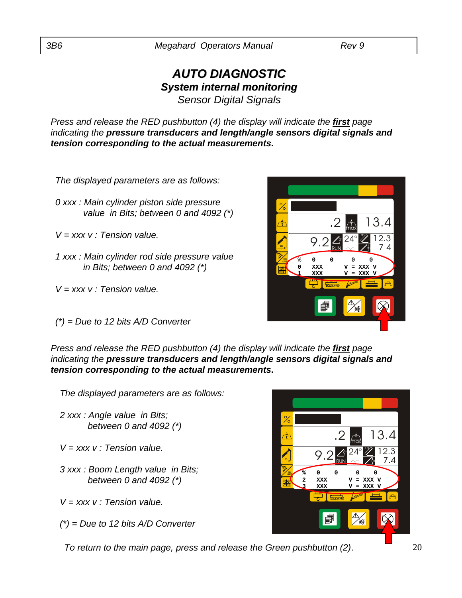#### *AUTO DIAGNOSTIC AUTO DIAGNOSTIC System internal monitoring Sensor Digital Signals*

*Press and release the RED pushbutton (4) the display will indicate the first page indicating the pressure transducers and length/angle sensors digital signals and tension corresponding to the actual measurements***.**

*The displayed parameters are as follows:*

*0 xxx : Main cylinder piston side pressure value in Bits; between 0 and 4092 (\*)*

*V = xxx v : Tension value.*

- *1 xxx : Main cylinder rod side pressure value in Bits; between 0 and 4092 (\*)*
- *V = xxx v : Tension value.*
- *(\*) = Due to 12 bits A/D Converter*

*Press and release the RED pushbutton (4) the display will indicate the first page indicating the pressure transducers and length/angle sensors digital signals and tension corresponding to the actual measurements***.**

**m**

*The displayed parameters are as follows:*

- *2 xxx : Angle value in Bits; between 0 and 4092 (\*)*
- *V = xxx v : Tension value.*
- *3 xxx : Boom Length value in Bits; between 0 and 4092 (\*)*
- *V = xxx v : Tension value.*
- *(\*) = Due to 12 bits A/D Converter*

*To return to the main page, press and release the Green pushbutton (2)*. 20





**m**

RUN

**% 0 0 0 0 2 XXX V = XXX V 3 XXX V = XXX V**

 $9.2$ 

max

t

 $24^{\circ}$  2.3

m

.2 13.4

7.4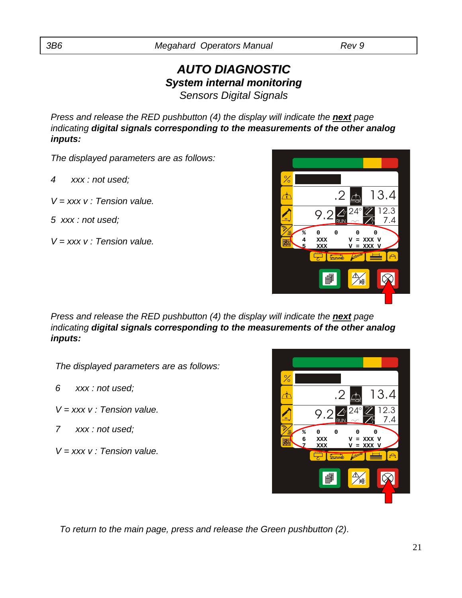### *AUTO DIAGNOSTIC AUTO DIAGNOSTIC System internal monitoring Sensors Digital Signals*

*Press and release the RED pushbutton (4) the display will indicate the next page indicating digital signals corresponding to the measurements of the other analog inputs:*

*The displayed parameters are as follows:*

- *4 xxx : not used;*
- *V = xxx v : Tension value.*
- *5 xxx : not used;*
- *V = xxx v : Tension value.*



*Press and release the RED pushbutton (4) the display will indicate the next page indicating digital signals corresponding to the measurements of the other analog inputs:*

*The displayed parameters are as follows:*

- *6 xxx : not used;*
- *V = xxx v : Tension value.*
- *7 xxx : not used;*

*V = xxx v : Tension value.*

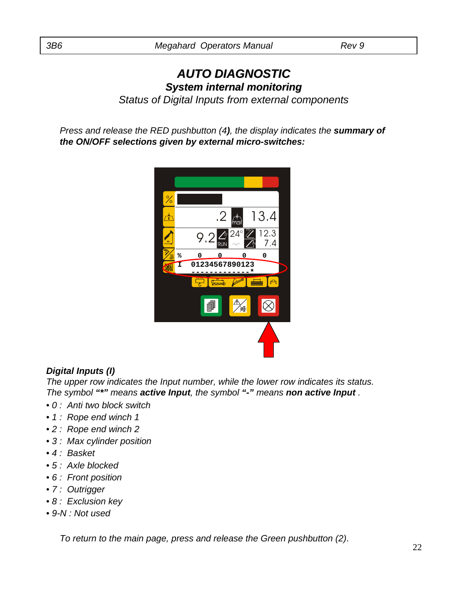## *AUTO DIAGNOSTIC AUTO DIAGNOSTIC System internal monitoring*

*Status of Digital Inputs from external components*

*Press and release the RED pushbutton (4), the display indicates the summary of the ON/OFF selections given by external micro-switches:*



#### *Digital Inputs (I)*

*The upper row indicates the Input number, while the lower row indicates its status. The symbol "\*" means active Input, the symbol "-" means non active Input .*

- *0 : Anti two block switch*
- *1 : Rope end winch 1*
- *2 : Rope end winch 2*
- *3 : Max cylinder position*
- *4 : Basket*
- *5 : Axle blocked*
- *6 : Front position*
- *7 : Outrigger*
- *8 : Exclusion key*
- *9-N : Not used*